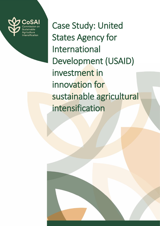

Case Study: United States Agency for International Development (USAID) investment in innovation for sustainable agricultural intensification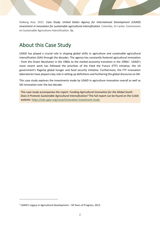Dalberg Asia. 2021. *Case Study: United States Agency for International Development (USAID) investment in innovation for sustainable agricultural intensification.* Colombo, Sri Lanka: Commission on Sustainable Agriculture Intensification. 8p.

### About this Case Study

USAID has played a crucial role in shaping global shifts in agriculture and sustainable agricultural intensification (SAI) through the decades. The agency has constantly fostered agricultural innovation - from the Green Revolution in the 1960s to the market-economy transition in the 1990s<sup>1</sup>. USAID's more recent work has followed the priorities of the Feed the Future (FTF) initiative, the US government's flagship global hunger and food security initiative. Furthermore, the FTF innovation laboratories have played a key role in setting up definitions and furthering the global discourse on SAI.

This case study explores the investments made by USAID in agriculture innovation overall as well as SAI innovation over the last decade.

This case study accompanies the report: *Funding Agricultural Innovation for the Global South: Does it Promote Sustainable Agricultural Intensification?* The full report can be found on the CoSAI website:<https://wle.cgiar.org/cosai/innovation-investment-study>

<sup>1</sup> USAID's Legacy in Agricultural Development – 50 Years of Progress, 2013.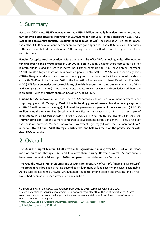# 1. Summary

Based on OECD data, **USAID invests more than USD 1 billion annually in agriculture, an estimated 60% of which goes towards innovation (>USD 600 million annually); of this, more than 15% (~USD**  100 million on average annually) is estimated to be towards SAI<sup>2</sup>. The share of SAI is larger for USAID than other OECD development partners on average (who spend less than 10% typically). Interviews with experts imply that innovation and SAI funding numbers for USAID could be higher than those reported here.

**Funding for agricultural innovation**<sup>2</sup> . **More than one-third of USAID's annual agricultural innovation funding goes to the private sector (~USD 200 million in 2018)**, a higher share compared to other bilateral funders, and this share is increasing. Further, compared to OECD development partners, USAID invests a higher share of the innovation pool into NGOs/NPOs (~35%) and research agencies (~10%). Geographically, all the innovation funding goes to the Global South Sub-Saharan Africa stands out with 30-40% of the funding. 50% of the innovation funding goes to Least Developed Countries (LDCs). **FTF focus countries are key recipients, of which five countries stand out** with their share (>3%) and average growth (>25%). These are Ethiopia, Ghana, Kenya, Tanzania, and Bangladesh. Afghanistan is an outlier, with the highest share of innovation funding (13%).

Funding for SAI<sup>3</sup> innovation. A higher share of SAI compared to other development partners is not surprising, given USAID's legacy. **Most of the SAI funding goes into research and knowledge systems (~USD 70 million annual average), followed by governance systems & policy support (~USD 30 million annual average).** The Sustainable Intensification Innovation Lab (SIIL) is an example of investments into research systems. Further, USAID's SAI investments are distinctive in that, the **"human condition"** stands out more compared to development partners in general – likely a result of the focus on nutrition. ~50% of innovation investments get tagged with the ''human condition" intention. **Overall, the USAID strategy is distinctive, and balances focus on the private sector with deep R&D networks.**

## 2. Overall

**The US is the largest bilateral OECD investor for agriculture, funding over USD 1 billion per year;** most of this comes through USAID and its relative share is rising. However, overall US contributions have been stagnant or falling (up to 2018), compared to countries such as Germany.

**The Feed the Future (FTF) program alone accounts for about 70% of USAID's funding in agriculture**<sup>4</sup> **.** The program has three goals that go beyond basic definitions of food security: Inclusive, Sustainable, Agriculture-led Economic Growth; Strengthened Resilience among people and systems; and a Well-Nourished Population, especially women and children.

<sup>&</sup>lt;sup>2</sup> Dalberg analysis of the OECD. Stat database from 2010 to 2018, combined with interviews.

<sup>&</sup>lt;sup>3</sup> Based on tagging of individual investments using a word crawl algorithm. The strict definition of SAI was used: investments that are aimed at productivity and environmental gains, in addition to one of social or human-condition related gains.

<sup>4</sup> https://www.usaid.gov/sites/default/files/documents/1867/Crosscut\_Report\_-

\_Global\_Food\_Security\_FINAL.pdf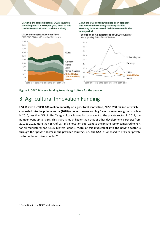**USAID** is the largest bilateral OECD investor. spending over 1 B USD per year; most of this comes from USAID and its share is rising...

... but the US's contribution has been stagnant and recently decreasing; counterparts like Germany have increased their investment in the same period



**Figure 1. OECD Bilateral funding towards agriculture for the decade.**

## 3. Agricultural Innovation Funding

**USAID invests ~USD 600 million annually on agricultural innovation, ~USD 200 million of which is channeled into the private sector (2018) – under the overarching focus on economic growth**. While in 2015, less than 5% of USAID's agricultural innovation pool went to the private sector; in 2018, the number went up to ~35%. This share is much higher than that of other development partners: from 2010 to 2018, more than 15% of USAID's innovation pool went to the private sector compared to ~5% for all multilateral and OECD bilateral donors. **~90% of this investment into the private sector is through the "private sector in the provider country", i.e., the USA**, as opposed to PPPs or "private sector in the recipient country"<sup>5</sup>.

<sup>5</sup> Definition in the OECD stat database.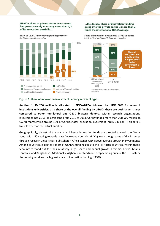**USAID's share of private sector investments** has grown recently to occupy more than 1/3 of its innovation portfolio...

Share of USAID's innovation spending by sector % of total innovation spending



...the decadal share of innovation funding going into the private sector is more than 2 times the international OECD average

Share of innovation investments. USAID vs others 2010-18, % of total taggable innovation spending



#### **Figure 2. Share of innovation investments among recipient types.**

**Another ~USD 200 million is allocated to NGOs/NPOs followed by ~USD 60M for research institutions universities; as a share of the overall funding by USAID, these are both larger shares compared to other multilateral and OECD bilateral donors.** Within research organizations, investment into CGIAR is significant. From 2010 to 2018, USAID funded more than USD 900 million on CGIAR representing around 10% of USAID's total innovation investment (~USD 6 billion). This data is likely lower than the actual number.

Geographically, almost all the grants and hence innovation funds are directed towards the Global South with ~50% going towards Least Developed Countries (LDCs), even though some of this is routed through research universities**.** Sub Saharan Africa stands with above-average growth in investments. Among countries, expectedly most of USAID's funding goes to the FTF focus countries. Within these, 5 countries stand out for their relatively larger share and annual growth: Ethiopia, Kenya, Ghana, Tanzania, and Bangladesh. Additionally, Afghanistan stands out: despite being outside the FTF system, the country receives the highest share of innovation funding (~13%).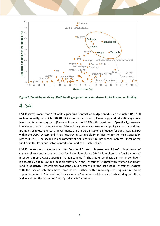



## 4. SAI

**USAID invests more than 15% of its agricultural innovation budget on SAI - an estimated USD 100 million annually, of which USD 70 million supports research, knowledge, and education systems.** Investments in macro systems (Figure 4) form most of USAID's SAI investments. Specifically, research, knowledge, and education systems, followed by governance systems and policy support, stand out. Examples of relevant research investments are the Cereal Systems Initiative for South Asia (CSISA) within the CGIAR system and Africa Research in Sustainable Intensification for the Next Generation (Africa RISING). The second major category of SAI is agricultural production systems - most of the funding in this layer goes into the production part of the value chain.

**USAID investments emphasize the "economic" and "human conditions" dimensions of sustainability.** Contrast this with data for all multilaterals and OECD bilaterals, where "environmental" intention almost always outweighs "human condition". The greater emphasis on "human condition" is expectedly due to USAID's focus on nutrition. In fact, investments tagged with "human condition" (and "productivity") intention(s) have gone up. Conversely, over the last decade, investments tagged with the "social" intention have come down. Further, within macro-systems, agricultural policy support is backed by "human" and "environmental" intentions, while research is backed by both these and in addition the "economic" and "productivity" intentions.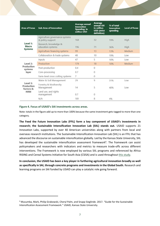| <b>Area of Focus</b>                              | <b>Sub-Area of Innovation</b>                      | <b>Average annual</b><br><b>Innovation</b><br>Spending in<br>million USD | <b>Average</b><br>annual SAI<br>in million<br><b>USD</b> (strict<br>definition) | % of total<br>innovation<br>spending | <b>Level of focus</b> |
|---------------------------------------------------|----------------------------------------------------|--------------------------------------------------------------------------|---------------------------------------------------------------------------------|--------------------------------------|-----------------------|
| Level 1:<br>Macro<br><b>Systems</b>               | Agriculture governance systems<br>& policy support | 168                                                                      | 32                                                                              | 19%                                  | High                  |
|                                                   | Research, knowledge &<br>education systems         | 196                                                                      | 71                                                                              | 36%                                  | High                  |
|                                                   | Agriculture financing systems                      | 99                                                                       | 13                                                                              | 13%                                  | Medium                |
|                                                   | Collaboration & trade systems                      | 48                                                                       | 10                                                                              | 19%                                  | Low                   |
| Level 2:<br>Production<br>systems<br>layer        | Inputs                                             | 47                                                                       | 5                                                                               | 10%                                  | Low                   |
|                                                   | Production                                         | 174                                                                      | 18                                                                              | 10%                                  | Medium                |
|                                                   | Post-production                                    | 0.4                                                                      | $\Omega$                                                                        |                                      |                       |
|                                                   | Core-processing                                    | 0.7                                                                      | 0                                                                               |                                      |                       |
|                                                   | Farm-level cross cutting systems                   | 7                                                                        | $\theta$                                                                        |                                      |                       |
| Level 3:<br>Production<br>factors &<br><b>NRM</b> | Water & Soil Management                            | 29                                                                       | 9                                                                               | 31%                                  | Low                   |
|                                                   | Forestry & biodiversity<br>Management              | 14                                                                       | 5                                                                               | 40%                                  | Low                   |
|                                                   | Land use, and rights<br>management                 | 0.7                                                                      | $\Omega$                                                                        |                                      |                       |
|                                                   | N/A                                                | 181                                                                      | 8                                                                               | 4%                                   |                       |

### **Figure 4. Focus of USAID's SAI investments across areas.**

Note: totals in the figure add up to more than 100% because the same investment gets tagged to more than one category.

**The Feed the Future Innovation Labs (FFIL) form a key component of USAID's investments in research; the Sustainable Intensification Innovation Lab (SIIL) stands out.** USAID supports 21 Innovation Labs, supported by over 40 American universities along with partners from local and overseas research institutions. The Sustainable Intensification Innovation Lab (SIIL) is an FFIL that has advanced the discourse on sustainable intensification globally. Led by the Kansas State University, SIIL has developed the sustainable intensification assessment framework<sup>6</sup>. The framework can assist policymakers and researchers with indicators and metrics to measure trade-offs across different interventions. The Framework is now employed by various SIIL programs and referenced by Africa RISING and Cereal Systems Initiative for South Asia (CSISA) and is used throughout [this study.](https://wle.cgiar.org/cosai/innovation-investment-study)

**In conclusion, the USAID has been a key player in furthering agricultural innovation broadly as well as specifically in SAI, through concrete programs and investments in the Global South.** Research and learning programs on SAI funded by USAID can play a catalytic role going forward.

<sup>6</sup> Musumba, Mark, Philip Grabowski, Cheryl Palm, and Snapp Sieglinde. 2017. "Guide for the Sustainable Intensification Assessment Framework." USAID, Kansas State University.